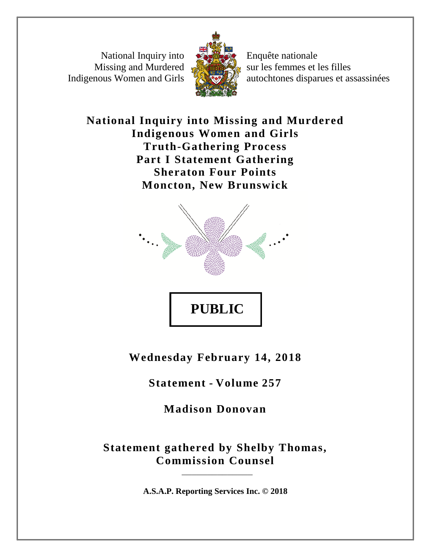National Inquiry into Missing and Murdered Indigenous Women and Girls



Enquête nationale sur les femmes et les filles autochtones disparues et assassinées

**National Inquiry into Missing and Murdered Indigenous Women and Girls Truth-Gathering Process Part I Statement Gathering Sheraton Four Points Moncton, New Brunswick**



**Wednesday February 14, 2018**

**Statement - Volume 257**

**Madison Donovan**

**Statement gathered by Shelby Thomas, Commission Counsel**

**A.S.A.P. Reporting Services Inc. © 2018**

\_\_\_\_\_\_\_\_\_\_\_\_\_\_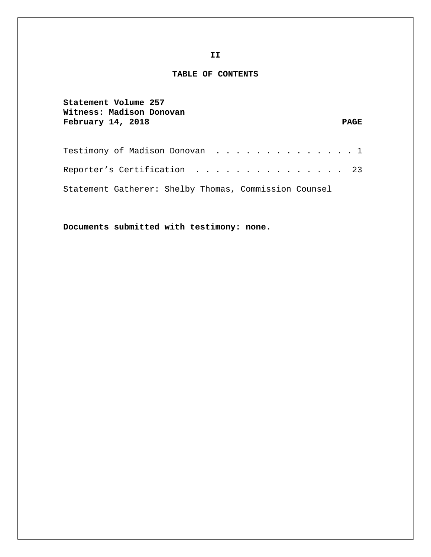## **TABLE OF CONTENTS**

| Statement Volume 257<br>Witness: Madison Donovan<br>February 14, 2018 | <b>PAGE</b> |
|-----------------------------------------------------------------------|-------------|
|                                                                       |             |
| Reporter's Certification 23                                           |             |
| Statement Gatherer: Shelby Thomas, Commission Counsel                 |             |

**Documents submitted with testimony: none.**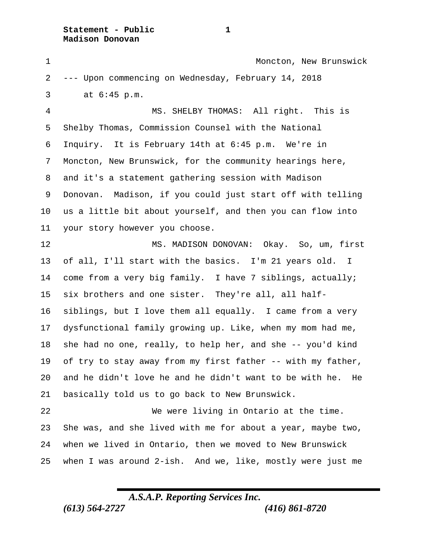**Statement - Public 1 Madison Donovan**

1 Moncton, New Brunswick --- Upon commencing on Wednesday, February 14, 2018 3 at 6:45 p.m. MS. SHELBY THOMAS: All right. This is Shelby Thomas, Commission Counsel with the National Inquiry. It is February 14th at 6:45 p.m. We're in Moncton, New Brunswick, for the community hearings here, and it's a statement gathering session with Madison Donovan. Madison, if you could just start off with telling us a little bit about yourself, and then you can flow into your story however you choose. 12 MS. MADISON DONOVAN: Okay. So, um, first of all, I'll start with the basics. I'm 21 years old. I come from a very big family. I have 7 siblings, actually; six brothers and one sister. They're all, all half- siblings, but I love them all equally. I came from a very dysfunctional family growing up. Like, when my mom had me, she had no one, really, to help her, and she -- you'd kind of try to stay away from my first father -- with my father, and he didn't love he and he didn't want to be with he. He basically told us to go back to New Brunswick. We were living in Ontario at the time. She was, and she lived with me for about a year, maybe two, when we lived in Ontario, then we moved to New Brunswick when I was around 2-ish. And we, like, mostly were just me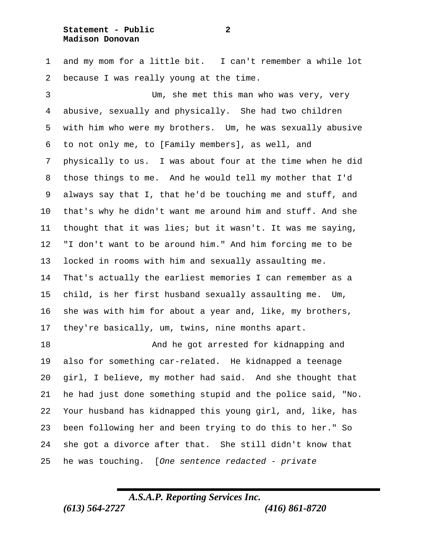## **Statement - Public 2 Madison Donovan**

 and my mom for a little bit. I can't remember a while lot because I was really young at the time.

 Um, she met this man who was very, very abusive, sexually and physically. She had two children with him who were my brothers. Um, he was sexually abusive to not only me, to [Family members], as well, and physically to us. I was about four at the time when he did those things to me. And he would tell my mother that I'd always say that I, that he'd be touching me and stuff, and that's why he didn't want me around him and stuff. And she thought that it was lies; but it wasn't. It was me saying, "I don't want to be around him." And him forcing me to be locked in rooms with him and sexually assaulting me. That's actually the earliest memories I can remember as a child, is her first husband sexually assaulting me. Um, she was with him for about a year and, like, my brothers, they're basically, um, twins, nine months apart.

 And he got arrested for kidnapping and also for something car-related. He kidnapped a teenage girl, I believe, my mother had said. And she thought that he had just done something stupid and the police said, "No. Your husband has kidnapped this young girl, and, like, has been following her and been trying to do this to her." So she got a divorce after that. She still didn't know that he was touching. [*One sentence redacted - private*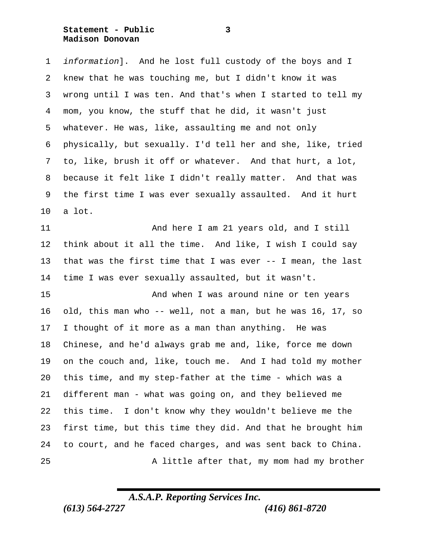**Statement - Public 3 Madison Donovan**

 *information*]. And he lost full custody of the boys and I knew that he was touching me, but I didn't know it was wrong until I was ten. And that's when I started to tell my mom, you know, the stuff that he did, it wasn't just whatever. He was, like, assaulting me and not only physically, but sexually. I'd tell her and she, like, tried to, like, brush it off or whatever. And that hurt, a lot, because it felt like I didn't really matter. And that was the first time I was ever sexually assaulted. And it hurt a lot.

11 And here I am 21 years old, and I still think about it all the time. And like, I wish I could say that was the first time that I was ever -- I mean, the last time I was ever sexually assaulted, but it wasn't.

 And when I was around nine or ten years old, this man who -- well, not a man, but he was 16, 17, so I thought of it more as a man than anything. He was Chinese, and he'd always grab me and, like, force me down on the couch and, like, touch me. And I had told my mother this time, and my step-father at the time - which was a different man - what was going on, and they believed me this time. I don't know why they wouldn't believe me the first time, but this time they did. And that he brought him to court, and he faced charges, and was sent back to China. 25 A little after that, my mom had my brother

*A.S.A.P. Reporting Services Inc.*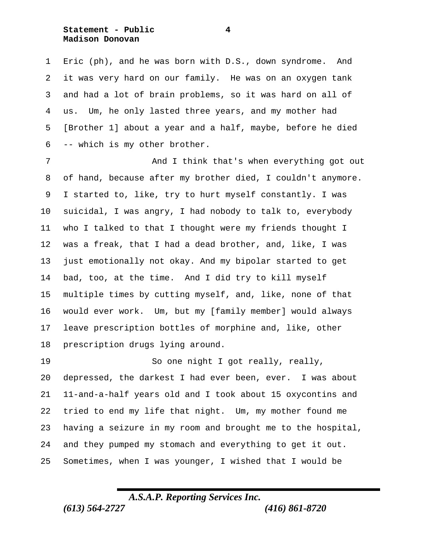**Statement - Public 4 Madison Donovan**

 Eric (ph), and he was born with D.S., down syndrome. And it was very hard on our family. He was on an oxygen tank and had a lot of brain problems, so it was hard on all of us. Um, he only lasted three years, and my mother had [Brother 1] about a year and a half, maybe, before he died -- which is my other brother.

7 And I think that's when everything got out of hand, because after my brother died, I couldn't anymore. I started to, like, try to hurt myself constantly. I was suicidal, I was angry, I had nobody to talk to, everybody who I talked to that I thought were my friends thought I was a freak, that I had a dead brother, and, like, I was just emotionally not okay. And my bipolar started to get bad, too, at the time. And I did try to kill myself multiple times by cutting myself, and, like, none of that would ever work. Um, but my [family member] would always leave prescription bottles of morphine and, like, other prescription drugs lying around.

19 So one night I got really, really, depressed, the darkest I had ever been, ever. I was about 11-and-a-half years old and I took about 15 oxycontins and tried to end my life that night. Um, my mother found me having a seizure in my room and brought me to the hospital, and they pumped my stomach and everything to get it out. Sometimes, when I was younger, I wished that I would be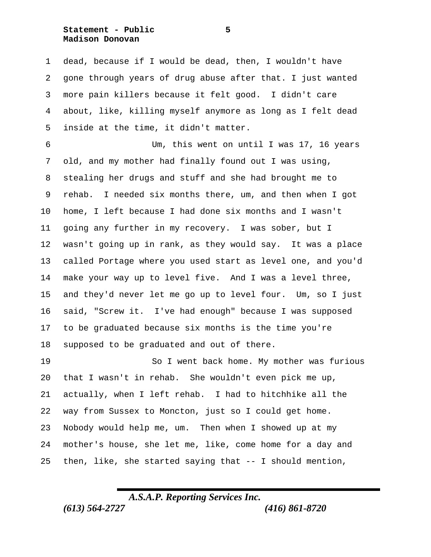**Statement - Public 5 Madison Donovan**

 dead, because if I would be dead, then, I wouldn't have gone through years of drug abuse after that. I just wanted more pain killers because it felt good. I didn't care about, like, killing myself anymore as long as I felt dead inside at the time, it didn't matter.

 Um, this went on until I was 17, 16 years old, and my mother had finally found out I was using, stealing her drugs and stuff and she had brought me to rehab. I needed six months there, um, and then when I got home, I left because I had done six months and I wasn't going any further in my recovery. I was sober, but I wasn't going up in rank, as they would say. It was a place called Portage where you used start as level one, and you'd make your way up to level five. And I was a level three, and they'd never let me go up to level four. Um, so I just said, "Screw it. I've had enough" because I was supposed to be graduated because six months is the time you're supposed to be graduated and out of there.

 So I went back home. My mother was furious that I wasn't in rehab. She wouldn't even pick me up, actually, when I left rehab. I had to hitchhike all the way from Sussex to Moncton, just so I could get home. Nobody would help me, um. Then when I showed up at my mother's house, she let me, like, come home for a day and then, like, she started saying that -- I should mention,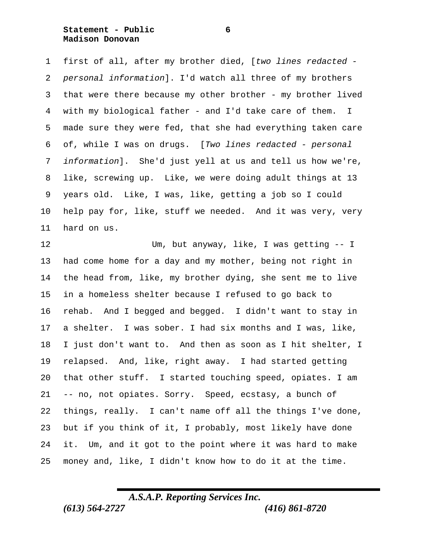**Statement - Public 6 Madison Donovan**

 first of all, after my brother died, [*two lines redacted - personal information*]. I'd watch all three of my brothers that were there because my other brother - my brother lived with my biological father - and I'd take care of them. I made sure they were fed, that she had everything taken care of, while I was on drugs. [*Two lines redacted - personal information*]. She'd just yell at us and tell us how we're, like, screwing up. Like, we were doing adult things at 13 years old. Like, I was, like, getting a job so I could help pay for, like, stuff we needed. And it was very, very hard on us.

 Um, but anyway, like, I was getting -- I had come home for a day and my mother, being not right in the head from, like, my brother dying, she sent me to live in a homeless shelter because I refused to go back to rehab. And I begged and begged. I didn't want to stay in a shelter. I was sober. I had six months and I was, like, I just don't want to. And then as soon as I hit shelter, I relapsed. And, like, right away. I had started getting that other stuff. I started touching speed, opiates. I am -- no, not opiates. Sorry. Speed, ecstasy, a bunch of things, really. I can't name off all the things I've done, but if you think of it, I probably, most likely have done it. Um, and it got to the point where it was hard to make money and, like, I didn't know how to do it at the time.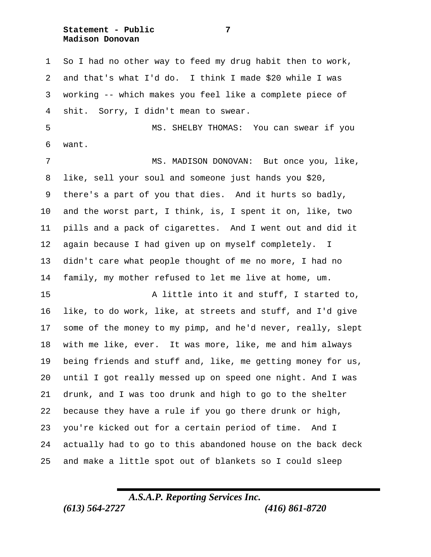**Statement - Public 7 Madison Donovan**

 So I had no other way to feed my drug habit then to work, and that's what I'd do. I think I made \$20 while I was working -- which makes you feel like a complete piece of shit. Sorry, I didn't mean to swear. MS. SHELBY THOMAS: You can swear if you want. 7 MS. MADISON DONOVAN: But once you, like, like, sell your soul and someone just hands you \$20, there's a part of you that dies. And it hurts so badly, and the worst part, I think, is, I spent it on, like, two pills and a pack of cigarettes. And I went out and did it again because I had given up on myself completely. I didn't care what people thought of me no more, I had no family, my mother refused to let me live at home, um. A little into it and stuff, I started to, like, to do work, like, at streets and stuff, and I'd give some of the money to my pimp, and he'd never, really, slept with me like, ever. It was more, like, me and him always being friends and stuff and, like, me getting money for us, until I got really messed up on speed one night. And I was drunk, and I was too drunk and high to go to the shelter because they have a rule if you go there drunk or high, you're kicked out for a certain period of time. And I actually had to go to this abandoned house on the back deck and make a little spot out of blankets so I could sleep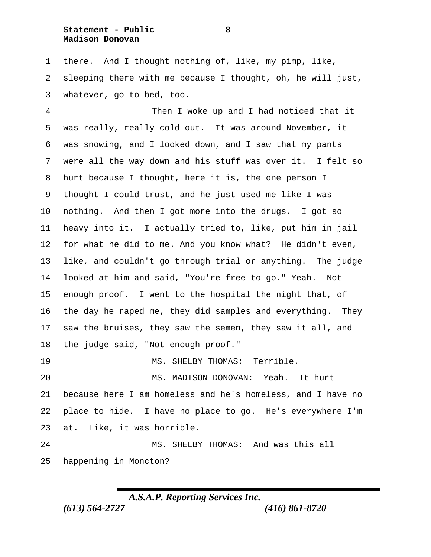**Statement - Public 8 Madison Donovan**

 there. And I thought nothing of, like, my pimp, like, sleeping there with me because I thought, oh, he will just, whatever, go to bed, too.

 Then I woke up and I had noticed that it was really, really cold out. It was around November, it was snowing, and I looked down, and I saw that my pants were all the way down and his stuff was over it. I felt so hurt because I thought, here it is, the one person I thought I could trust, and he just used me like I was nothing. And then I got more into the drugs. I got so heavy into it. I actually tried to, like, put him in jail for what he did to me. And you know what? He didn't even, like, and couldn't go through trial or anything. The judge looked at him and said, "You're free to go." Yeah. Not enough proof. I went to the hospital the night that, of the day he raped me, they did samples and everything. They saw the bruises, they saw the semen, they saw it all, and the judge said, "Not enough proof." MS. SHELBY THOMAS: Terrible. MS. MADISON DONOVAN: Yeah. It hurt

 because here I am homeless and he's homeless, and I have no place to hide. I have no place to go. He's everywhere I'm at. Like, it was horrible.

 MS. SHELBY THOMAS: And was this all happening in Moncton?

*A.S.A.P. Reporting Services Inc.*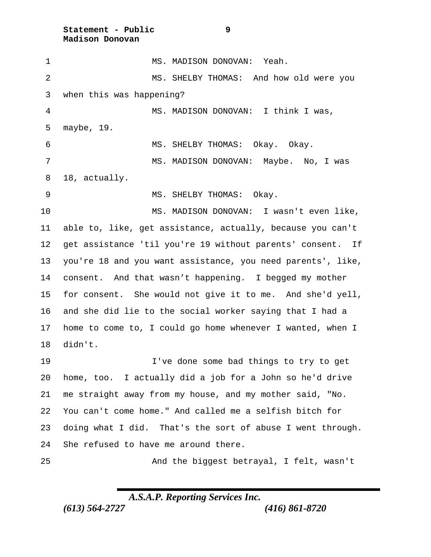**Statement - Public 9 Madison Donovan**

 MS. MADISON DONOVAN: Yeah. MS. SHELBY THOMAS: And how old were you when this was happening? MS. MADISON DONOVAN: I think I was, maybe, 19. MS. SHELBY THOMAS: Okay. Okay. 7 MS. MADISON DONOVAN: Maybe. No, I was 18, actually. 9 MS. SHELBY THOMAS: Okay. MS. MADISON DONOVAN: I wasn't even like, able to, like, get assistance, actually, because you can't get assistance 'til you're 19 without parents' consent. If you're 18 and you want assistance, you need parents', like, consent. And that wasn't happening. I begged my mother for consent. She would not give it to me. And she'd yell, and she did lie to the social worker saying that I had a home to come to, I could go home whenever I wanted, when I didn't. I've done some bad things to try to get home, too. I actually did a job for a John so he'd drive me straight away from my house, and my mother said, "No. You can't come home." And called me a selfish bitch for doing what I did. That's the sort of abuse I went through. She refused to have me around there. And the biggest betrayal, I felt, wasn't

*A.S.A.P. Reporting Services Inc.*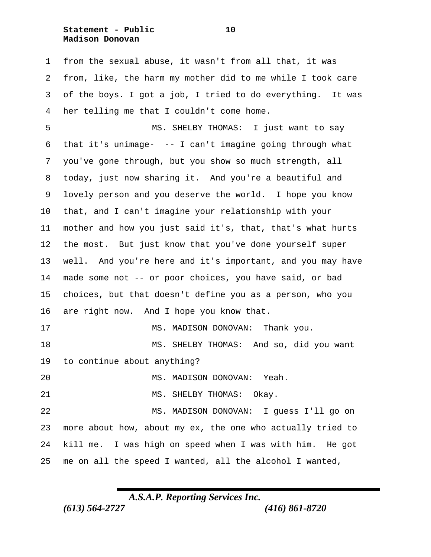**Statement - Public 10 Madison Donovan**

 from the sexual abuse, it wasn't from all that, it was from, like, the harm my mother did to me while I took care of the boys. I got a job, I tried to do everything. It was her telling me that I couldn't come home.

 MS. SHELBY THOMAS: I just want to say that it's unimage- -- I can't imagine going through what you've gone through, but you show so much strength, all today, just now sharing it. And you're a beautiful and lovely person and you deserve the world. I hope you know that, and I can't imagine your relationship with your mother and how you just said it's, that, that's what hurts the most. But just know that you've done yourself super well. And you're here and it's important, and you may have made some not -- or poor choices, you have said, or bad choices, but that doesn't define you as a person, who you 16 are right now. And I hope you know that. 17 MS. MADISON DONOVAN: Thank you. MS. SHELBY THOMAS: And so, did you want to continue about anything? MS. MADISON DONOVAN: Yeah. 21 MS. SHELBY THOMAS: Okay. MS. MADISON DONOVAN: I guess I'll go on more about how, about my ex, the one who actually tried to kill me. I was high on speed when I was with him. He got

me on all the speed I wanted, all the alcohol I wanted,

*A.S.A.P. Reporting Services Inc.*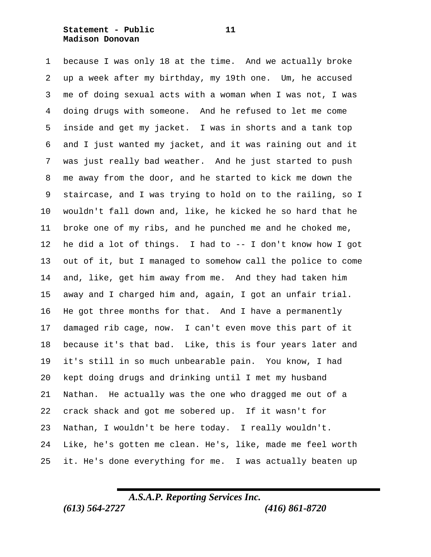### **Statement - Public 11 Madison Donovan**

 because I was only 18 at the time. And we actually broke up a week after my birthday, my 19th one. Um, he accused me of doing sexual acts with a woman when I was not, I was doing drugs with someone. And he refused to let me come inside and get my jacket. I was in shorts and a tank top and I just wanted my jacket, and it was raining out and it was just really bad weather. And he just started to push me away from the door, and he started to kick me down the staircase, and I was trying to hold on to the railing, so I wouldn't fall down and, like, he kicked he so hard that he broke one of my ribs, and he punched me and he choked me, he did a lot of things. I had to -- I don't know how I got out of it, but I managed to somehow call the police to come and, like, get him away from me. And they had taken him away and I charged him and, again, I got an unfair trial. He got three months for that. And I have a permanently damaged rib cage, now. I can't even move this part of it because it's that bad. Like, this is four years later and it's still in so much unbearable pain. You know, I had kept doing drugs and drinking until I met my husband Nathan. He actually was the one who dragged me out of a crack shack and got me sobered up. If it wasn't for Nathan, I wouldn't be here today. I really wouldn't. Like, he's gotten me clean. He's, like, made me feel worth it. He's done everything for me. I was actually beaten up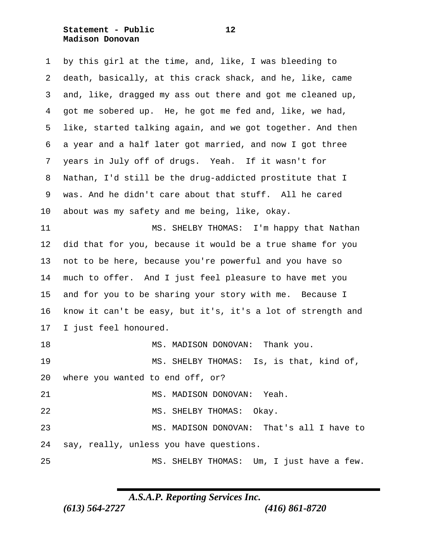**Statement - Public 12 Madison Donovan**

 by this girl at the time, and, like, I was bleeding to death, basically, at this crack shack, and he, like, came and, like, dragged my ass out there and got me cleaned up, got me sobered up. He, he got me fed and, like, we had, like, started talking again, and we got together. And then a year and a half later got married, and now I got three years in July off of drugs. Yeah. If it wasn't for Nathan, I'd still be the drug-addicted prostitute that I was. And he didn't care about that stuff. All he cared about was my safety and me being, like, okay. 11 MS. SHELBY THOMAS: I'm happy that Nathan did that for you, because it would be a true shame for you not to be here, because you're powerful and you have so much to offer. And I just feel pleasure to have met you and for you to be sharing your story with me. Because I know it can't be easy, but it's, it's a lot of strength and I just feel honoured. 18 MS. MADISON DONOVAN: Thank you. MS. SHELBY THOMAS: Is, is that, kind of, where you wanted to end off, or? 21 MS. MADISON DONOVAN: Yeah. 22 MS. SHELBY THOMAS: Okay. MS. MADISON DONOVAN: That's all I have to say, really, unless you have questions. MS. SHELBY THOMAS: Um, I just have a few.

*A.S.A.P. Reporting Services Inc.*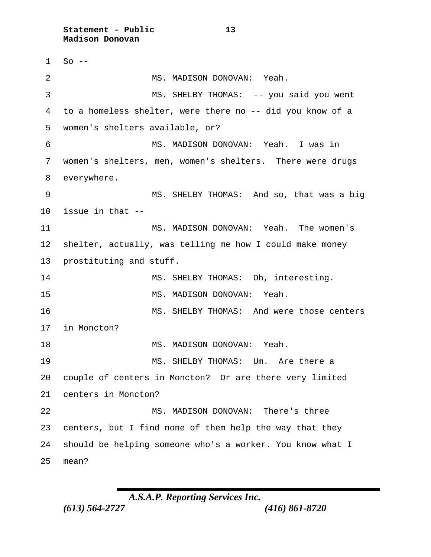**Statement - Public 13 Madison Donovan**

 So  $-$ 2 MS. MADISON DONOVAN: Yeah. MS. SHELBY THOMAS: -- you said you went to a homeless shelter, were there no -- did you know of a women's shelters available, or? MS. MADISON DONOVAN: Yeah. I was in women's shelters, men, women's shelters. There were drugs everywhere. MS. SHELBY THOMAS: And so, that was a big issue in that -- MS. MADISON DONOVAN: Yeah. The women's shelter, actually, was telling me how I could make money prostituting and stuff. 14 MS. SHELBY THOMAS: Oh, interesting. MS. MADISON DONOVAN: Yeah. 16 MS. SHELBY THOMAS: And were those centers in Moncton? 18 MS. MADISON DONOVAN: Yeah. 19 MS. SHELBY THOMAS: Um. Are there a couple of centers in Moncton? Or are there very limited centers in Moncton? MS. MADISON DONOVAN: There's three centers, but I find none of them help the way that they should be helping someone who's a worker. You know what I mean?

*A.S.A.P. Reporting Services Inc.*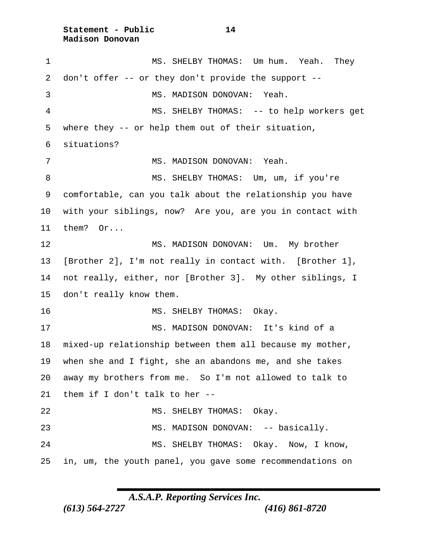**Statement - Public 14 Madison Donovan**

 MS. SHELBY THOMAS: Um hum. Yeah. They don't offer -- or they don't provide the support -- MS. MADISON DONOVAN: Yeah. MS. SHELBY THOMAS: -- to help workers get where they -- or help them out of their situation, situations? 7 MS. MADISON DONOVAN: Yeah. 8 MS. SHELBY THOMAS: Um, um, if you're comfortable, can you talk about the relationship you have with your siblings, now? Are you, are you in contact with them? Or... MS. MADISON DONOVAN: Um. My brother [Brother 2], I'm not really in contact with. [Brother 1], not really, either, nor [Brother 3]. My other siblings, I don't really know them. 16 MS. SHELBY THOMAS: Okay. MS. MADISON DONOVAN: It's kind of a mixed-up relationship between them all because my mother, when she and I fight, she an abandons me, and she takes away my brothers from me. So I'm not allowed to talk to them if I don't talk to her -- 22 MS. SHELBY THOMAS: Okay. MS. MADISON DONOVAN: -- basically. MS. SHELBY THOMAS: Okay. Now, I know, in, um, the youth panel, you gave some recommendations on

*A.S.A.P. Reporting Services Inc.*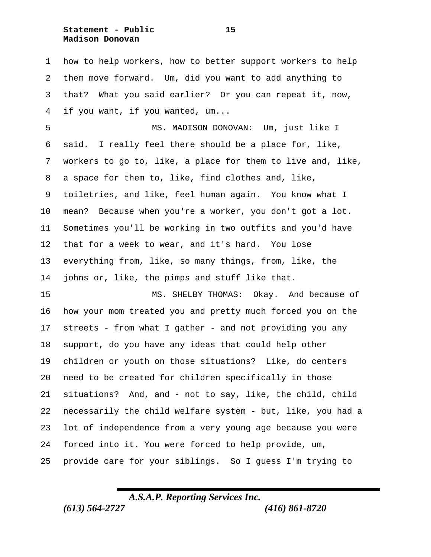**Statement - Public 15 Madison Donovan**

 how to help workers, how to better support workers to help them move forward. Um, did you want to add anything to that? What you said earlier? Or you can repeat it, now, if you want, if you wanted, um...

 MS. MADISON DONOVAN: Um, just like I said. I really feel there should be a place for, like, workers to go to, like, a place for them to live and, like, a space for them to, like, find clothes and, like, toiletries, and like, feel human again. You know what I mean? Because when you're a worker, you don't got a lot. Sometimes you'll be working in two outfits and you'd have that for a week to wear, and it's hard. You lose everything from, like, so many things, from, like, the johns or, like, the pimps and stuff like that.

 MS. SHELBY THOMAS: Okay. And because of how your mom treated you and pretty much forced you on the streets - from what I gather - and not providing you any support, do you have any ideas that could help other children or youth on those situations? Like, do centers need to be created for children specifically in those situations? And, and - not to say, like, the child, child necessarily the child welfare system - but, like, you had a lot of independence from a very young age because you were forced into it. You were forced to help provide, um, provide care for your siblings. So I guess I'm trying to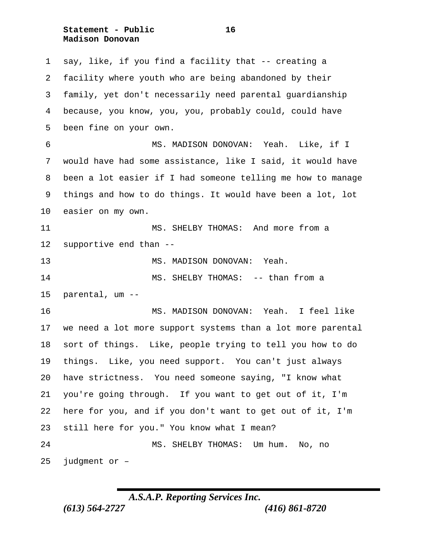**Statement - Public 16 Madison Donovan**

 say, like, if you find a facility that -- creating a facility where youth who are being abandoned by their family, yet don't necessarily need parental guardianship because, you know, you, you, probably could, could have been fine on your own. MS. MADISON DONOVAN: Yeah. Like, if I would have had some assistance, like I said, it would have been a lot easier if I had someone telling me how to manage things and how to do things. It would have been a lot, lot easier on my own. MS. SHELBY THOMAS: And more from a supportive end than -- MS. MADISON DONOVAN: Yeah. 14 MS. SHELBY THOMAS: -- than from a parental, um -- MS. MADISON DONOVAN: Yeah. I feel like we need a lot more support systems than a lot more parental sort of things. Like, people trying to tell you how to do things. Like, you need support. You can't just always have strictness. You need someone saying, "I know what you're going through. If you want to get out of it, I'm here for you, and if you don't want to get out of it, I'm still here for you." You know what I mean? MS. SHELBY THOMAS: Um hum. No, no judgment or –

*A.S.A.P. Reporting Services Inc.*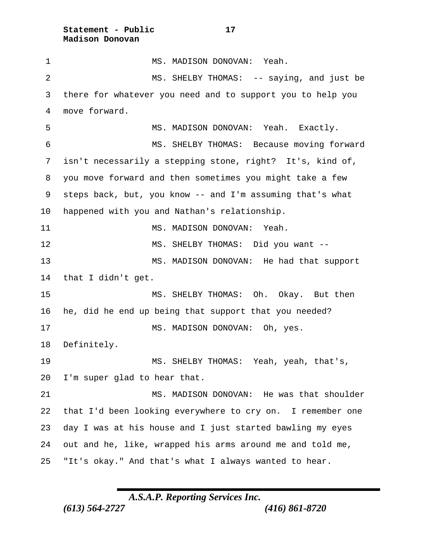**Statement - Public 17 Madison Donovan**

 MS. MADISON DONOVAN: Yeah. 2 MS. SHELBY THOMAS: -- saying, and just be there for whatever you need and to support you to help you move forward. MS. MADISON DONOVAN: Yeah. Exactly. MS. SHELBY THOMAS: Because moving forward isn't necessarily a stepping stone, right? It's, kind of, you move forward and then sometimes you might take a few steps back, but, you know -- and I'm assuming that's what happened with you and Nathan's relationship. 11 MS. MADISON DONOVAN: Yeah. MS. SHELBY THOMAS: Did you want -- MS. MADISON DONOVAN: He had that support that I didn't get. MS. SHELBY THOMAS: Oh. Okay. But then he, did he end up being that support that you needed? 17 MS. MADISON DONOVAN: Oh, yes. Definitely. MS. SHELBY THOMAS: Yeah, yeah, that's, I'm super glad to hear that. 21 MS. MADISON DONOVAN: He was that shoulder that I'd been looking everywhere to cry on. I remember one day I was at his house and I just started bawling my eyes out and he, like, wrapped his arms around me and told me, "It's okay." And that's what I always wanted to hear.

*A.S.A.P. Reporting Services Inc.*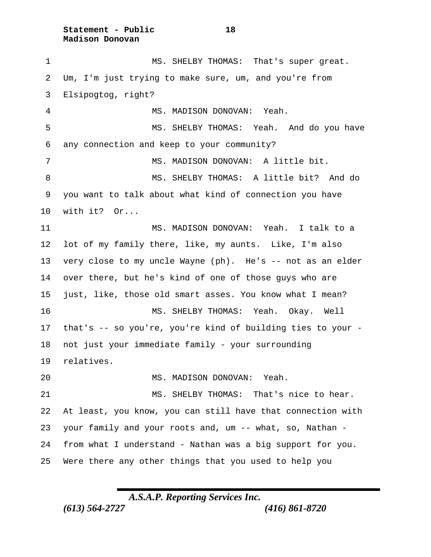**Statement - Public 18 Madison Donovan**

 MS. SHELBY THOMAS: That's super great. Um, I'm just trying to make sure, um, and you're from Elsipogtog, right? MS. MADISON DONOVAN: Yeah. MS. SHELBY THOMAS: Yeah. And do you have any connection and keep to your community? 7 MS. MADISON DONOVAN: A little bit. 8 MS. SHELBY THOMAS: A little bit? And do you want to talk about what kind of connection you have with it? Or... MS. MADISON DONOVAN: Yeah. I talk to a lot of my family there, like, my aunts. Like, I'm also very close to my uncle Wayne (ph). He's -- not as an elder over there, but he's kind of one of those guys who are just, like, those old smart asses. You know what I mean? MS. SHELBY THOMAS: Yeah. Okay. Well that's -- so you're, you're kind of building ties to your - not just your immediate family - your surrounding relatives. MS. MADISON DONOVAN: Yeah. MS. SHELBY THOMAS: That's nice to hear. At least, you know, you can still have that connection with your family and your roots and, um -- what, so, Nathan - from what I understand - Nathan was a big support for you. Were there any other things that you used to help you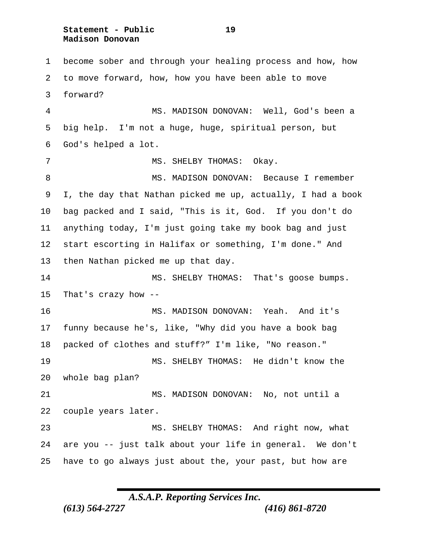**Statement - Public 19 Madison Donovan**

 become sober and through your healing process and how, how to move forward, how, how you have been able to move forward? MS. MADISON DONOVAN: Well, God's been a big help. I'm not a huge, huge, spiritual person, but God's helped a lot. 7 MS. SHELBY THOMAS: Okay. 8 MS. MADISON DONOVAN: Because I remember I, the day that Nathan picked me up, actually, I had a book bag packed and I said, "This is it, God. If you don't do anything today, I'm just going take my book bag and just start escorting in Halifax or something, I'm done." And then Nathan picked me up that day. MS. SHELBY THOMAS: That's goose bumps. That's crazy how -- MS. MADISON DONOVAN: Yeah. And it's funny because he's, like, "Why did you have a book bag packed of clothes and stuff?" I'm like, "No reason." MS. SHELBY THOMAS: He didn't know the whole bag plan? MS. MADISON DONOVAN: No, not until a couple years later. MS. SHELBY THOMAS: And right now, what are you -- just talk about your life in general. We don't have to go always just about the, your past, but how are

*A.S.A.P. Reporting Services Inc.*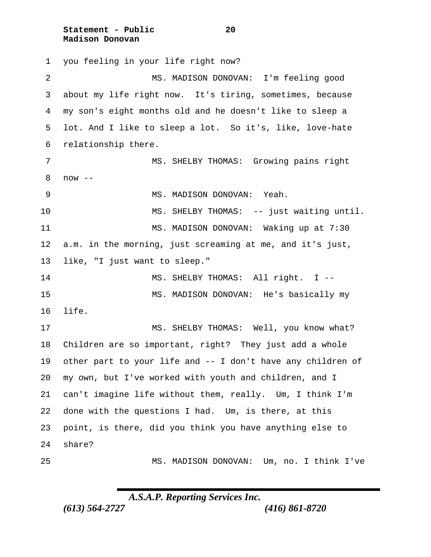**Statement - Public 20 Madison Donovan**

 you feeling in your life right now? MS. MADISON DONOVAN: I'm feeling good about my life right now. It's tiring, sometimes, because my son's eight months old and he doesn't like to sleep a lot. And I like to sleep a lot. So it's, like, love-hate relationship there. MS. SHELBY THOMAS: Growing pains right now -- 9 MS. MADISON DONOVAN: Yeah. MS. SHELBY THOMAS: -- just waiting until. 11 MS. MADISON DONOVAN: Waking up at 7:30 a.m. in the morning, just screaming at me, and it's just, like, "I just want to sleep." 14 MS. SHELBY THOMAS: All right. I -- MS. MADISON DONOVAN: He's basically my life. MS. SHELBY THOMAS: Well, you know what? Children are so important, right? They just add a whole other part to your life and -- I don't have any children of my own, but I've worked with youth and children, and I can't imagine life without them, really. Um, I think I'm done with the questions I had. Um, is there, at this point, is there, did you think you have anything else to share? MS. MADISON DONOVAN: Um, no. I think I've

*A.S.A.P. Reporting Services Inc.*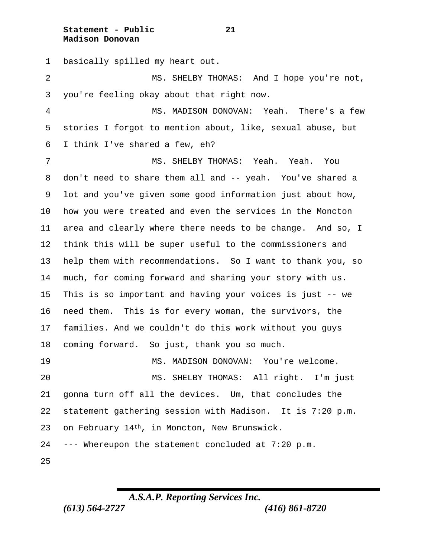**Statement - Public 21 Madison Donovan**

 basically spilled my heart out. MS. SHELBY THOMAS: And I hope you're not, you're feeling okay about that right now. MS. MADISON DONOVAN: Yeah. There's a few stories I forgot to mention about, like, sexual abuse, but I think I've shared a few, eh? MS. SHELBY THOMAS: Yeah. Yeah. You don't need to share them all and -- yeah. You've shared a lot and you've given some good information just about how, how you were treated and even the services in the Moncton area and clearly where there needs to be change. And so, I think this will be super useful to the commissioners and help them with recommendations. So I want to thank you, so much, for coming forward and sharing your story with us. This is so important and having your voices is just -- we need them. This is for every woman, the survivors, the families. And we couldn't do this work without you guys coming forward. So just, thank you so much. MS. MADISON DONOVAN: You're welcome. MS. SHELBY THOMAS: All right. I'm just gonna turn off all the devices. Um, that concludes the statement gathering session with Madison. It is 7:20 p.m. on February 14th, in Moncton, New Brunswick. --- Whereupon the statement concluded at 7:20 p.m. 

*A.S.A.P. Reporting Services Inc.*